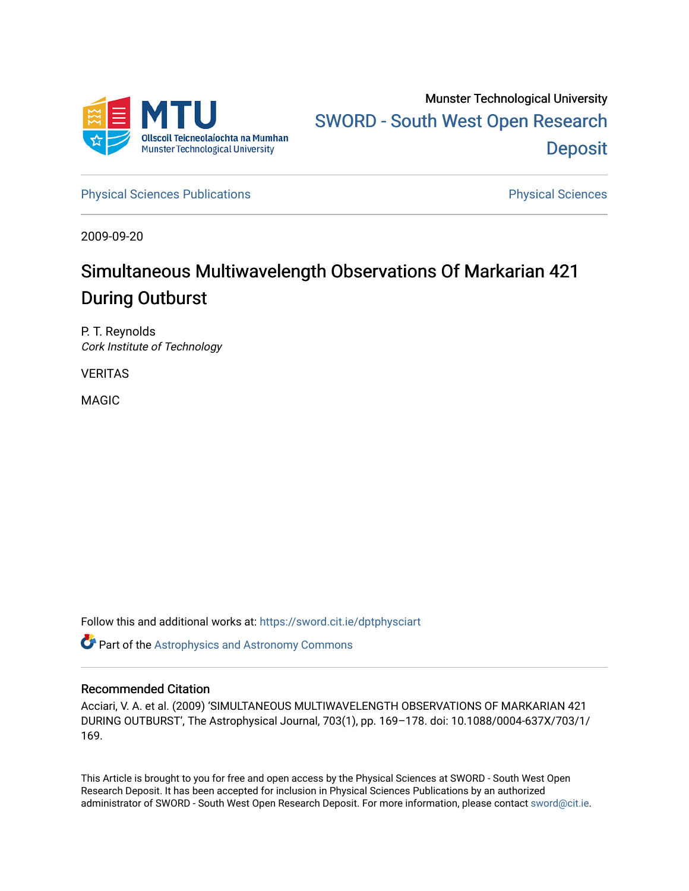

[Physical Sciences Publications](https://sword.cit.ie/dptphysciart) **Physical Sciences** Physical Sciences

2009-09-20

# Simultaneous Multiwavelength Observations Of Markarian 421 During Outburst

P. T. Reynolds Cork Institute of Technology

VERITAS

MAGIC

Follow this and additional works at: [https://sword.cit.ie/dptphysciart](https://sword.cit.ie/dptphysciart?utm_source=sword.cit.ie%2Fdptphysciart%2F51&utm_medium=PDF&utm_campaign=PDFCoverPages)

Part of the [Astrophysics and Astronomy Commons](http://network.bepress.com/hgg/discipline/123?utm_source=sword.cit.ie%2Fdptphysciart%2F51&utm_medium=PDF&utm_campaign=PDFCoverPages) 

# Recommended Citation

Acciari, V. A. et al. (2009) 'SIMULTANEOUS MULTIWAVELENGTH OBSERVATIONS OF MARKARIAN 421 DURING OUTBURST', The Astrophysical Journal, 703(1), pp. 169–178. doi: 10.1088/0004-637X/703/1/ 169.

This Article is brought to you for free and open access by the Physical Sciences at SWORD - South West Open Research Deposit. It has been accepted for inclusion in Physical Sciences Publications by an authorized administrator of SWORD - South West Open Research Deposit. For more information, please contact [sword@cit.ie.](mailto:sword@cit.ie)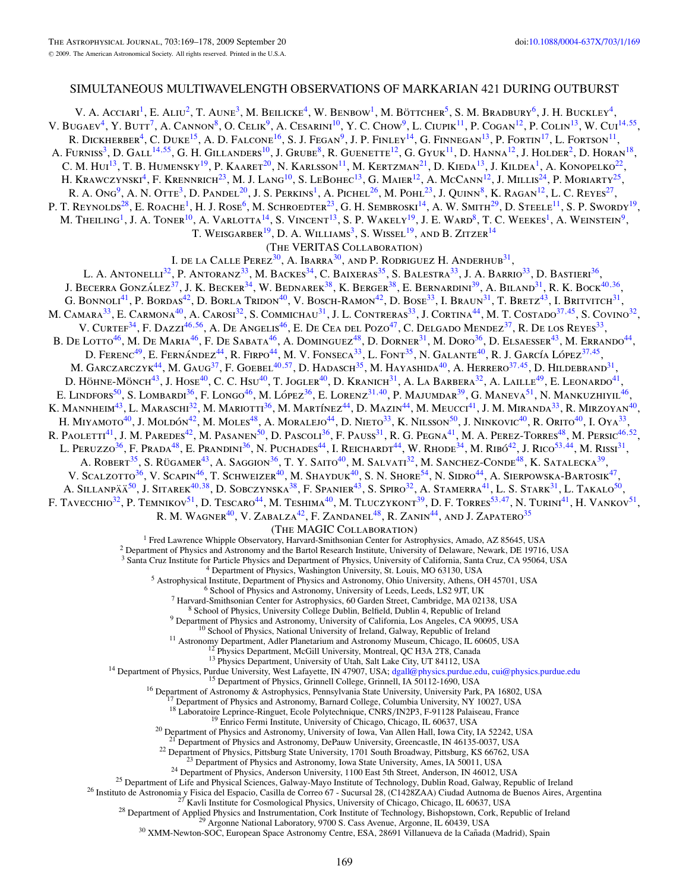# SIMULTANEOUS MULTIWAVELENGTH OBSERVATIONS OF MARKARIAN 421 DURING OUTBURST

V. A. Acciari<sup>1</sup>, E. Aliu<sup>2</sup>, T. Aune<sup>3</sup>, M. Beilicke<sup>4</sup>, W. Benbow<sup>1</sup>, M. Böttcher<sup>5</sup>, S. M. Bradbury<sup>6</sup>, J. H. Buckley<sup>4</sup>, V. BUGAEV<sup>4</sup>, Y. BUTT<sup>7</sup>, A. CANNON<sup>8</sup>, O. CELIK<sup>9</sup>, A. CESARINI<sup>10</sup>, Y. C. CHOW<sup>9</sup>, L. CIUPIK<sup>11</sup>, P. COGAN<sup>12</sup>, P. COLIN<sup>13</sup>, W. CUI<sup>14,[55](#page-2-0)</sup>, R. DICKHERBER<sup>4</sup>, C. DUKE<sup>15</sup>, A. D. FALCONE<sup>16</sup>, S. J. FEGAN<sup>9</sup>, J. P. FINLEY<sup>14</sup>, G. FINNEGAN<sup>13</sup>, P. FORTIN<sup>17</sup>, L. FORTSON<sup>11</sup>, A. Furniss<sup>3</sup>, D. Gall<sup>14,[55](#page-2-0)</sup>, G. H. Gillanders<sup>10</sup>, J. Grube<sup>8</sup>, R. Guenette<sup>12</sup>, G. Gyuk<sup>11</sup>, D. Hanna<sup>12</sup>, J. Holder<sup>2</sup>, D. Horan<sup>18</sup>, C. M. Hui<sup>13</sup>, T. B. Humensky<sup>19</sup>, P. Kaaret<sup>20</sup>, N. Karlsson<sup>11</sup>, M. Kertzman<sup>21</sup>, D. Kieda<sup>13</sup>, J. Kildea<sup>1</sup>, A. Konopelko<sup>22</sup>, H. Krawczynski<sup>4</sup>, F. Krennrich<sup>23</sup>, M. J. Lang<sup>10</sup>, S. LeBohec<sup>13</sup>, G. Maier<sup>12</sup>, A. McCann<sup>12</sup>, J. Millis<sup>24</sup>, P. Moriarty<sup>25</sup>, R. A. Ong<sup>9</sup>, A. N. Otte<sup>3</sup>, D. Pandel<sup>20</sup>, J. S. Perkins<sup>1</sup>, A. Pichel<sup>26</sup>, M. Pohl<sup>23</sup>, J. Quinn<sup>8</sup>, K. Ragan<sup>12</sup>, L. C. Reyes<sup>27</sup>, P. T. REYNOLDS<sup>28</sup>, E. ROACHE<sup>1</sup>, H. J. ROSE<sup>6</sup>, M. SCHROEDTER<sup>23</sup>, G. H. SEMBROSKI<sup>14</sup>, A. W. SMITH<sup>29</sup>, D. STEELE<sup>11</sup>, S. P. SWORDY<sup>19</sup>, M. Theiling<sup>1</sup>, J. A. Toner<sup>10</sup>, A. Varlotta<sup>14</sup>, S. Vincent<sup>13</sup>, S. P. Wakely<sup>19</sup>, J. E. Ward<sup>8</sup>, T. C. Weekes<sup>1</sup>, A. Weinstein<sup>9</sup>, T. Weisgarber<sup>19</sup>, D. A. Williams<sup>3</sup>, S. Wissel<sup>19</sup>, and B. Zitzer<sup>14</sup> (The VERITAS Collaboration) I. de la Calle Perez<sup>30</sup>, A. Ibarra<sup>30</sup>, and P. Rodriguez H. Anderhub<sup>31</sup>, L. A. ANTONELLI<sup>32</sup>, P. ANTORANZ<sup>33</sup>, M. BACKES<sup>34</sup>, C. BAIXERAS<sup>35</sup>, S. BALESTRA<sup>33</sup>, J. A. BARRIO<sup>33</sup>, D. BASTIERI<sup>36</sup>, J. Becerra González<sup>37</sup>, J. K. Becker<sup>34</sup>, W. Bednarek<sup>38</sup>, K. Berger<sup>38</sup>, E. Bernardini<sup>39</sup>, A. Biland<sup>31</sup>, R. K. Bock<sup>40,36</sup>, G. BONNOLI<sup>41</sup>, P. BORDAS<sup>42</sup>, D. BORLA TRIDON<sup>40</sup>, V. BOSCH-RAMON<sup>42</sup>, D. BOSE<sup>33</sup>, I. BRAUN<sup>31</sup>, T. BRETZ<sup>43</sup>, I. BRITVITCH<sup>31</sup>, M. Camara33, E. Carmona40, A. Carosi32, S. Commichau31, J. L. Contreras33, J. Cortina44, M. T. Costado37*,*45, S. Covino32, V. Curtef<sup>34</sup>, F. Dazzi<sup>46,[56](#page-2-0)</sup>, A. De Angelis<sup>46</sup>, E. De Cea del Pozo<sup>47</sup>, C. Delgado Mendez<sup>37</sup>, R. De los Reyes<sup>33</sup>, B. DE LOTTO<sup>46</sup>, M. DE MARIA<sup>46</sup>, F. DE SABATA<sup>46</sup>, A. DOMINGUEZ<sup>48</sup>, D. DORNER<sup>31</sup>, M. DORO<sup>36</sup>, D. ELSAESSER<sup>43</sup>, M. ERRANDO<sup>44</sup>, D. FERENC<sup>49</sup>, E. FERNÁNDEZ<sup>44</sup>, R. FIRPO<sup>44</sup>, M. V. FONSECA<sup>33</sup>, L. FONT<sup>35</sup>, N. GALANTE<sup>40</sup>, R. J. GARCÍA LÓPEZ<sup>37,45</sup>, M. GARCZARCZYK<sup>44</sup>, M. GAUG<sup>37</sup>, F. GOEBEL<sup>40</sup>,<sup>[57](#page-2-0)</sup>, D. HADASCH<sup>35</sup>, M. HAYASHIDA<sup>40</sup>, A. HERRERO<sup>37,45</sup>, D. HILDEBRAND<sup>31</sup>, M. GARCZARCZYK<sup>44</sup>, M. GAUG<sup>37</sup>, F. GOEBEL<sup>40,57</sup>, D. HADASCH<sup>35</sup>, M. HAYASHIDA<sup>40</sup>, A. HERRERO<sup>3</sup> D. HÖHNE-MÖNCH<sup>43</sup>, J. HOSE<sup>40</sup>, C. C. Hsu<sup>40</sup>, T. JOGLER<sup>40</sup>, D. Kranich<sup>31</sup>, A. La Barbera<sup>32</sup>, A. Laille<sup>49</sup>, E. Leonardo<sup>41</sup>, E. LINDFORS<sup>50</sup>, S. LOMBARDI<sup>36</sup>, F. LONGO<sup>46</sup>, M. LÓPEZ<sup>36</sup>, E. LORENZ<sup>31,40</sup>, P. MAJUMDAR<sup>39</sup>, G. MANEVA<sup>51</sup>, N. MANKUZHIYIL<sup>46</sup>, K. Mannheim<sup>43</sup>, L. Maraschi<sup>32</sup>, M. Mariotti<sup>36</sup>, M. Martínez<sup>44</sup>, D. Mazin<sup>44</sup>, M. Meucci<sup>41</sup>, J. M. Miranda<sup>33</sup>, R. Mirzoyan<sup>40</sup>, H. MIYAMOTO<sup>40</sup>, J. MOLDÓN<sup>42</sup>, M. MOLES<sup>48</sup>, A. MORALEJO<sup>44</sup>, D. NIETO<sup>33</sup>, K. NILSSON<sup>50</sup>, J. NINKOVIC<sup>40</sup>, R. ORITO<sup>40</sup>, I. OYA<sup>33</sup>, R. PAOLETTI<sup>41</sup>, J. M. PAREDES<sup>42</sup>, M. PASANEN<sup>50</sup>, D. PASCOLI<sup>36</sup>, F. PAUSS<sup>31</sup>, R. G. PEGNA<sup>41</sup>, M. A. PEREZ-TORRES<sup>48</sup>, M. PERSIC<sup>46,52</sup>, L. PERUZZO<sup>36</sup>, F. PRADA<sup>48</sup>, E. PRANDINI<sup>36</sup>, N. PUCHADES<sup>44</sup>, I. REICHARDT<sup>44</sup>, W. RHODE<sup>34</sup>, M. RIBÓ<sup>42</sup>, J. RICO<sup>53,44</sup>, M. RISSI<sup>31</sup>, A. Robert<sup>35</sup>, S. Rügamer<sup>43</sup>, A. Saggion<sup>36</sup>, T. Y. Saito<sup>40</sup>, M. Salvati<sup>32</sup>, M. Sanchez-Conde<sup>48</sup>, K. Satalecka<sup>39</sup>, V. Scalzotto<sup>36</sup>, V. Scapin<sup>46</sup>, T. Schweizer<sup>40</sup>, M. Shayduk<sup>40</sup>, S. N. Shore<sup>54</sup>, N. Sidro<sup>44</sup>, A. Sierpowska-Bartosik<sup>47</sup>, A. SILLANPÄÄ<sup>50</sup>, J. SITAREK<sup>40,38</sup>, D. SOBCZYNSKA<sup>38</sup>, F. SPANIER<sup>43</sup>, S. SPIRO<sup>32</sup>, A. STAMERRA<sup>41</sup>, L. S. STARK<sup>31</sup>, L. TAKALO<sup>50</sup>, F. TAVECCHIO<sup>32</sup>, P. TEMNIKOV<sup>51</sup>, D. TESCARO<sup>44</sup>, M. TESHIMA<sup>40</sup>, M. TLUCZYKONT<sup>39</sup>, D. F. TORRES<sup>53,47</sup>, N. TURINI<sup>41</sup>, H. VANKOV<sup>51</sup>, R. M. WAGNER<sup>40</sup>, V. ZABALZA<sup>42</sup>, F. ZANDANEL<sup>48</sup>, R. ZANIN<sup>44</sup>, AND J. ZAPATERO<sup>35</sup> (The MAGIC Collaboration) <sup>1</sup> Fred Lawrence Whipple Observatory, Harvard-Smithsonian Center for Astrophysics, Amado, AZ 85645, USA  $^2$  Department of Physics and Astronomy and the Bartol Research Institute, University of Delaware, Newark, DE 19716 <sup>4</sup> Department of Physics, Washington University, St. Louis, MO 63130, USA<br>
<sup>5</sup> Astrophysical Institute, Department of Physics and Astronomy, Ohio University, Athens, OH 45701, USA<br>
<sup>6</sup> School of Physics and Astronomy, Un <sup>19</sup> Enrico Fermi Institute, University of Chicago, Chicago, IL 60637, USA<br><sup>20</sup> Department of Physics and Astronomy, University of Iowa, Van Allen Hall, Iowa City, IA 52242, USA<br><sup>21</sup> Department of Physics and Astronomy, De <sup>22</sup> Department of Physics, Pittsburg State University, 1701 South Broadway, Pittsburg, KS 66762, USA<br><sup>23</sup> Department of Physics and Astronomy, Iowa State University, Ames, IA 50011, USA<br><sup>24</sup> Department of Physics, Anders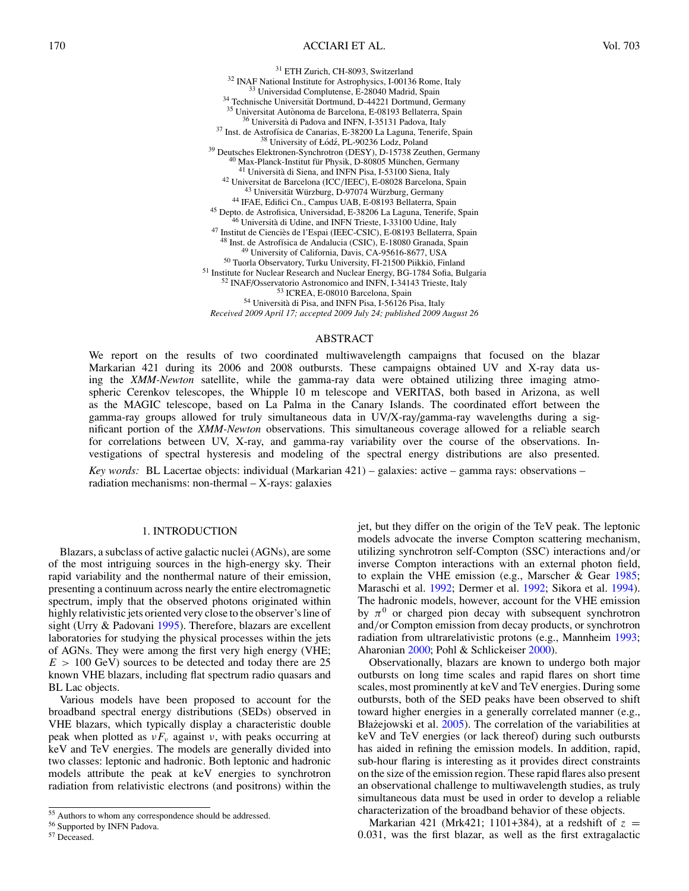<span id="page-2-0"></span><sup>31</sup> ETH Zurich, CH-8093, Switzerland<br><sup>32</sup> INAF National Institute for Astrophysics, 1-00136 Rome, Italy<br><sup>33</sup> Universidad Complutense, E-28040 Madrid, Spain<br><sup>34</sup> Technische Universität Dortmund, D-44221 Dortmund, Germany<br> *Received 2009 April 17; accepted 2009 July 24; published 2009 August 26*

## ABSTRACT

We report on the results of two coordinated multiwavelength campaigns that focused on the blazar Markarian 421 during its 2006 and 2008 outbursts. These campaigns obtained UV and X-ray data using the *XMM-Newton* satellite, while the gamma-ray data were obtained utilizing three imaging atmospheric Cerenkov telescopes, the Whipple 10 m telescope and VERITAS, both based in Arizona, as well as the MAGIC telescope, based on La Palma in the Canary Islands. The coordinated effort between the gamma-ray groups allowed for truly simultaneous data in UV/X-ray/gamma-ray wavelengths during a significant portion of the *XMM-Newton* observations. This simultaneous coverage allowed for a reliable search for correlations between UV, X-ray, and gamma-ray variability over the course of the observations. Investigations of spectral hysteresis and modeling of the spectral energy distributions are also presented.

*Key words:* BL Lacertae objects: individual (Markarian 421) – galaxies: active – gamma rays: observations – radiation mechanisms: non-thermal  $-$  X-rays: galaxies

#### 1. INTRODUCTION

Blazars, a subclass of active galactic nuclei (AGNs), are some of the most intriguing sources in the high-energy sky. Their rapid variability and the nonthermal nature of their emission, presenting a continuum across nearly the entire electromagnetic spectrum, imply that the observed photons originated within highly relativistic jets oriented very close to the observer's line of sight (Urry & Padovani [1995\)](#page-10-0). Therefore, blazars are excellent laboratories for studying the physical processes within the jets of AGNs. They were among the first very high energy (VHE; *E >* 100 GeV) sources to be detected and today there are 25 known VHE blazars, including flat spectrum radio quasars and BL Lac objects.

Various models have been proposed to account for the broadband spectral energy distributions (SEDs) observed in VHE blazars, which typically display a characteristic double peak when plotted as  $vF_v$  against *ν*, with peaks occurring at keV and TeV energies. The models are generally divided into two classes: leptonic and hadronic. Both leptonic and hadronic models attribute the peak at keV energies to synchrotron radiation from relativistic electrons (and positrons) within the

jet, but they differ on the origin of the TeV peak. The leptonic models advocate the inverse Compton scattering mechanism, utilizing synchrotron self-Compton (SSC) interactions and*/*or inverse Compton interactions with an external photon field, to explain the VHE emission (e.g., Marscher & Gear [1985;](#page-10-0) Maraschi et al. [1992;](#page-10-0) Dermer et al. [1992;](#page-9-0) Sikora et al. [1994\)](#page-10-0). The hadronic models, however, account for the VHE emission by  $\pi^0$  or charged pion decay with subsequent synchrotron and*/*or Compton emission from decay products, or synchrotron radiation from ultrarelativistic protons (e.g., Mannheim [1993;](#page-10-0) Aharonian [2000;](#page-9-0) Pohl & Schlickeiser [2000\)](#page-10-0).

Observationally, blazars are known to undergo both major outbursts on long time scales and rapid flares on short time scales, most prominently at keV and TeV energies. During some outbursts, both of the SED peaks have been observed to shift toward higher energies in a generally correlated manner (e.g., Błażejowski et al. [2005\)](#page-9-0). The correlation of the variabilities at keV and TeV energies (or lack thereof) during such outbursts has aided in refining the emission models. In addition, rapid, sub-hour flaring is interesting as it provides direct constraints on the size of the emission region. These rapid flares also present an observational challenge to multiwavelength studies, as truly simultaneous data must be used in order to develop a reliable characterization of the broadband behavior of these objects.

Markarian 421 (Mrk421; 1101+384), at a redshift of  $z =$ 0*.*031, was the first blazar, as well as the first extragalactic

<sup>55</sup> Authors to whom any correspondence should be addressed.

<sup>56</sup> Supported by INFN Padova.

<sup>57</sup> Deceased.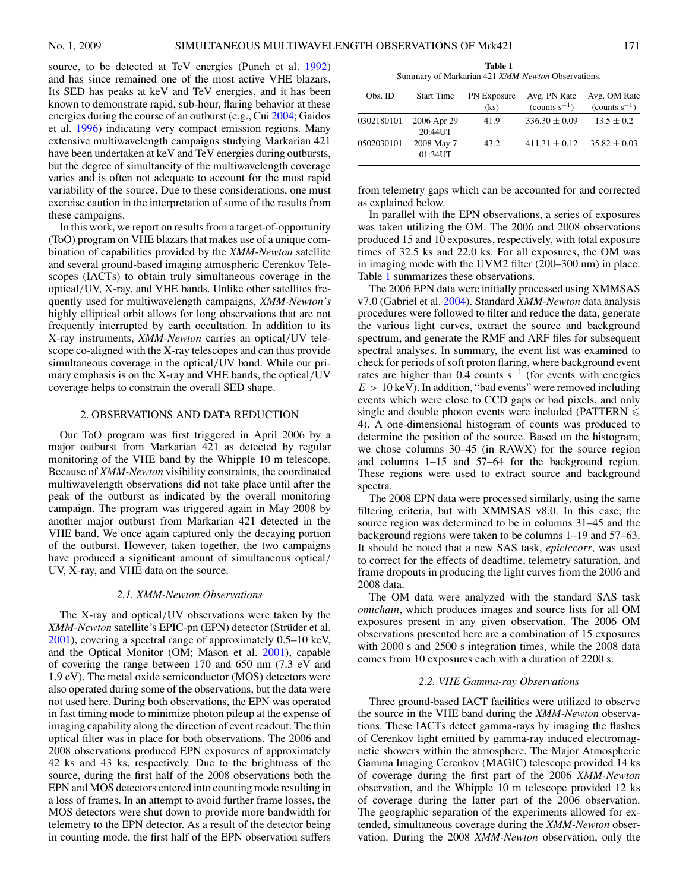source, to be detected at TeV energies (Punch et al. [1992\)](#page-10-0) and has since remained one of the most active VHE blazars. Its SED has peaks at keV and TeV energies, and it has been known to demonstrate rapid, sub-hour, flaring behavior at these energies during the course of an outburst (e.g., Cui [2004;](#page-9-0) Gaidos et al. [1996\)](#page-9-0) indicating very compact emission regions. Many extensive multiwavelength campaigns studying Markarian 421 have been undertaken at keV and TeV energies during outbursts, but the degree of simultaneity of the multiwavelength coverage varies and is often not adequate to account for the most rapid variability of the source. Due to these considerations, one must exercise caution in the interpretation of some of the results from these campaigns.

In this work, we report on results from a target-of-opportunity (ToO) program on VHE blazars that makes use of a unique combination of capabilities provided by the *XMM-Newton* satellite and several ground-based imaging atmospheric Cerenkov Telescopes (IACTs) to obtain truly simultaneous coverage in the optical*/*UV, X-ray, and VHE bands. Unlike other satellites frequently used for multiwavelength campaigns, *XMM-Newton's* highly elliptical orbit allows for long observations that are not frequently interrupted by earth occultation. In addition to its X-ray instruments, *XMM-Newton* carries an optical*/*UV telescope co-aligned with the X-ray telescopes and can thus provide simultaneous coverage in the optical*/*UV band. While our primary emphasis is on the X-ray and VHE bands, the optical*/*UV coverage helps to constrain the overall SED shape.

## 2. OBSERVATIONS AND DATA REDUCTION

Our ToO program was first triggered in April 2006 by a major outburst from Markarian 421 as detected by regular monitoring of the VHE band by the Whipple 10 m telescope. Because of *XMM-Newton* visibility constraints, the coordinated multiwavelength observations did not take place until after the peak of the outburst as indicated by the overall monitoring campaign. The program was triggered again in May 2008 by another major outburst from Markarian 421 detected in the VHE band. We once again captured only the decaying portion of the outburst. However, taken together, the two campaigns have produced a significant amount of simultaneous optical*/* UV, X-ray, and VHE data on the source.

#### *2.1. XMM-Newton Observations*

The X-ray and optical*/*UV observations were taken by the *XMM-Newton* satellite's EPIC-pn (EPN) detector (Struder et al. ¨ [2001\)](#page-10-0), covering a spectral range of approximately 0.5–10 keV, and the Optical Monitor (OM; Mason et al. [2001\)](#page-10-0), capable of covering the range between 170 and 650 nm (7.3 eV and 1.9 eV). The metal oxide semiconductor (MOS) detectors were also operated during some of the observations, but the data were not used here. During both observations, the EPN was operated in fast timing mode to minimize photon pileup at the expense of imaging capability along the direction of event readout. The thin optical filter was in place for both observations. The 2006 and 2008 observations produced EPN exposures of approximately 42 ks and 43 ks, respectively. Due to the brightness of the source, during the first half of the 2008 observations both the EPN and MOS detectors entered into counting mode resulting in a loss of frames. In an attempt to avoid further frame losses, the MOS detectors were shut down to provide more bandwidth for telemetry to the EPN detector. As a result of the detector being in counting mode, the first half of the EPN observation suffers

**Table 1** Summary of Markarian 421 *XMM-Newton* Observations.

| Obs. ID    | <b>Start Time</b>         | <b>PN</b> Exposure<br>(ks) | Avg. PN Rate<br>$\text{(counts } s^{-1}\text{)}$ | Avg. OM Rate<br>(counts $s^{-1}$ ) |
|------------|---------------------------|----------------------------|--------------------------------------------------|------------------------------------|
| 0302180101 | 2006 Apr 29<br>$20:44$ UT | 41.9                       | $336.30 \pm 0.09$                                | $13.5 \pm 0.2$                     |
| 0502030101 | 2008 May 7<br>01:34UT     | 43.2                       | $411.31 \pm 0.12$                                | $35.82 \pm 0.03$                   |

from telemetry gaps which can be accounted for and corrected as explained below.

In parallel with the EPN observations, a series of exposures was taken utilizing the OM. The 2006 and 2008 observations produced 15 and 10 exposures, respectively, with total exposure times of 32.5 ks and 22.0 ks. For all exposures, the OM was in imaging mode with the UVM2 filter (200–300 nm) in place. Table 1 summarizes these observations.

The 2006 EPN data were initially processed using XMMSAS v7.0 (Gabriel et al. [2004\)](#page-9-0). Standard *XMM-Newton* data analysis procedures were followed to filter and reduce the data, generate the various light curves, extract the source and background spectrum, and generate the RMF and ARF files for subsequent spectral analyses. In summary, the event list was examined to check for periods of soft proton flaring, where background event rates are higher than 0.4 counts s<sup> $-1$ </sup> (for events with energies  $E > 10 \,\text{keV}$ ). In addition, "bad events" were removed including events which were close to CCD gaps or bad pixels, and only single and double photon events were included (PATTERN  $\leqslant$ 4). A one-dimensional histogram of counts was produced to determine the position of the source. Based on the histogram, we chose columns 30–45 (in RAWX) for the source region and columns 1–15 and 57–64 for the background region. These regions were used to extract source and background spectra.

The 2008 EPN data were processed similarly, using the same filtering criteria, but with XMMSAS v8.0. In this case, the source region was determined to be in columns 31–45 and the background regions were taken to be columns 1–19 and 57–63. It should be noted that a new SAS task, *epiclccorr*, was used to correct for the effects of deadtime, telemetry saturation, and frame dropouts in producing the light curves from the 2006 and 2008 data.

The OM data were analyzed with the standard SAS task *omichain*, which produces images and source lists for all OM exposures present in any given observation. The 2006 OM observations presented here are a combination of 15 exposures with 2000 s and 2500 s integration times, while the 2008 data comes from 10 exposures each with a duration of 2200 s.

#### *2.2. VHE Gamma-ray Observations*

Three ground-based IACT facilities were utilized to observe the source in the VHE band during the *XMM-Newton* observations. These IACTs detect gamma-rays by imaging the flashes of Cerenkov light emitted by gamma-ray induced electromagnetic showers within the atmosphere. The Major Atmospheric Gamma Imaging Cerenkov (MAGIC) telescope provided 14 ks of coverage during the first part of the 2006 *XMM-Newton* observation, and the Whipple 10 m telescope provided 12 ks of coverage during the latter part of the 2006 observation. The geographic separation of the experiments allowed for extended, simultaneous coverage during the *XMM-Newton* observation. During the 2008 *XMM-Newton* observation, only the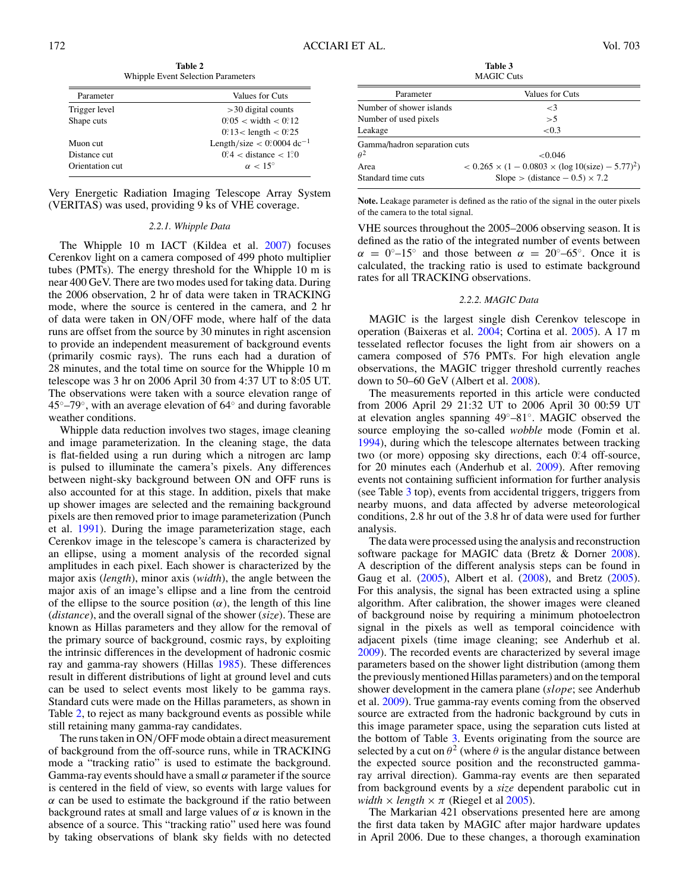**Table 2** Whipple Event Selection Parameters

| Parameter       | Values for Cuts                         |
|-----------------|-----------------------------------------|
| Trigger level   | $>$ 30 digital counts                   |
| Shape cuts      | $0^{\circ}05 <$ width $< 0^{\circ}12$   |
|                 | $0°3 <$ length $< 0°25$                 |
| Muon cut        | Length/size $< 0$ 0004 dc <sup>-1</sup> |
| Distance cut    | $0^\circ$ 4 < distance < 1.0            |
| Orientation cut | $\alpha$ < 1.5°                         |

Very Energetic Radiation Imaging Telescope Array System (VERITAS) was used, providing 9 ks of VHE coverage.

# *2.2.1. Whipple Data*

The Whipple 10 m IACT (Kildea et al. [2007\)](#page-9-0) focuses Cerenkov light on a camera composed of 499 photo multiplier tubes (PMTs). The energy threshold for the Whipple 10 m is near 400 GeV. There are two modes used for taking data. During the 2006 observation, 2 hr of data were taken in TRACKING mode, where the source is centered in the camera, and 2 hr of data were taken in ON*/*OFF mode, where half of the data runs are offset from the source by 30 minutes in right ascension to provide an independent measurement of background events (primarily cosmic rays). The runs each had a duration of 28 minutes, and the total time on source for the Whipple 10 m telescope was 3 hr on 2006 April 30 from 4:37 UT to 8:05 UT. The observations were taken with a source elevation range of 45◦–79◦, with an average elevation of 64◦ and during favorable weather conditions.

Whipple data reduction involves two stages, image cleaning and image parameterization. In the cleaning stage, the data is flat-fielded using a run during which a nitrogen arc lamp is pulsed to illuminate the camera's pixels. Any differences between night-sky background between ON and OFF runs is also accounted for at this stage. In addition, pixels that make up shower images are selected and the remaining background pixels are then removed prior to image parameterization (Punch et al. [1991\)](#page-10-0). During the image parameterization stage, each Cerenkov image in the telescope's camera is characterized by an ellipse, using a moment analysis of the recorded signal amplitudes in each pixel. Each shower is characterized by the major axis (*length*), minor axis (*width*), the angle between the major axis of an image's ellipse and a line from the centroid of the ellipse to the source position  $(\alpha)$ , the length of this line (*distance*), and the overall signal of the shower (*size*). These are known as Hillas parameters and they allow for the removal of the primary source of background, cosmic rays, by exploiting the intrinsic differences in the development of hadronic cosmic ray and gamma-ray showers (Hillas [1985\)](#page-9-0). These differences result in different distributions of light at ground level and cuts can be used to select events most likely to be gamma rays. Standard cuts were made on the Hillas parameters, as shown in Table 2, to reject as many background events as possible while still retaining many gamma-ray candidates.

The runs taken in ON*/*OFF mode obtain a direct measurement of background from the off-source runs, while in TRACKING mode a "tracking ratio" is used to estimate the background. Gamma-ray events should have a small *α* parameter if the source is centered in the field of view, so events with large values for *α* can be used to estimate the background if the ratio between background rates at small and large values of *α* is known in the absence of a source. This "tracking ratio" used here was found by taking observations of blank sky fields with no detected

**Table 3** MAGIC Cuts

| MAUIU UUS                    |                                                                      |  |  |  |  |
|------------------------------|----------------------------------------------------------------------|--|--|--|--|
| Parameter                    | Values for Cuts                                                      |  |  |  |  |
| Number of shower islands     | $\leq$ 3                                                             |  |  |  |  |
| Number of used pixels        | >5                                                                   |  |  |  |  |
| Leakage                      | ${<}0.3$                                                             |  |  |  |  |
| Gamma/hadron separation cuts |                                                                      |  |  |  |  |
| $\theta^2$                   | < 0.046                                                              |  |  |  |  |
| Area                         | $< 0.265 \times (1 - 0.0803 \times (\log 10(\text{size}) - 5.77)^2)$ |  |  |  |  |
| Standard time cuts           | Slope > (distance $-0.5 \times 7.2$ )                                |  |  |  |  |

**Note.** Leakage parameter is defined as the ratio of the signal in the outer pixels of the camera to the total signal.

VHE sources throughout the 2005–2006 observing season. It is defined as the ratio of the integrated number of events between  $\alpha = 0^\circ - 15^\circ$  and those between  $\alpha = 20^\circ - 65^\circ$ . Once it is calculated, the tracking ratio is used to estimate background rates for all TRACKING observations.

#### *2.2.2. MAGIC Data*

MAGIC is the largest single dish Cerenkov telescope in operation (Baixeras et al. [2004;](#page-9-0) Cortina et al. [2005\)](#page-9-0). A 17 m tesselated reflector focuses the light from air showers on a camera composed of 576 PMTs. For high elevation angle observations, the MAGIC trigger threshold currently reaches down to 50–60 GeV (Albert et al. [2008\)](#page-9-0).

The measurements reported in this article were conducted from 2006 April 29 21:32 UT to 2006 April 30 00:59 UT at elevation angles spanning 49◦–81◦. MAGIC observed the source employing the so-called *wobble* mode (Fomin et al. [1994\)](#page-9-0), during which the telescope alternates between tracking two (or more) opposing sky directions, each 0.<sup>2</sup> off-source, for 20 minutes each (Anderhub et al. [2009\)](#page-9-0). After removing events not containing sufficient information for further analysis (see Table 3 top), events from accidental triggers, triggers from nearby muons, and data affected by adverse meteorological conditions, 2.8 hr out of the 3.8 hr of data were used for further analysis.

The data were processed using the analysis and reconstruction software package for MAGIC data (Bretz & Dorner [2008\)](#page-9-0). A description of the different analysis steps can be found in Gaug et al. [\(2005\)](#page-9-0), Albert et al. [\(2008\)](#page-9-0), and Bretz [\(2005\)](#page-9-0). For this analysis, the signal has been extracted using a spline algorithm. After calibration, the shower images were cleaned of background noise by requiring a minimum photoelectron signal in the pixels as well as temporal coincidence with adjacent pixels (time image cleaning; see Anderhub et al. [2009\)](#page-9-0). The recorded events are characterized by several image parameters based on the shower light distribution (among them the previously mentioned Hillas parameters) and on the temporal shower development in the camera plane (*slope*; see Anderhub et al. [2009\)](#page-9-0). True gamma-ray events coming from the observed source are extracted from the hadronic background by cuts in this image parameter space, using the separation cuts listed at the bottom of Table 3. Events originating from the source are selected by a cut on  $\theta^2$  (where  $\theta$  is the angular distance between the expected source position and the reconstructed gammaray arrival direction). Gamma-ray events are then separated from background events by a *size* dependent parabolic cut in *width*  $\times$  *length*  $\times \pi$  (Riegel et al [2005\)](#page-10-0).

The Markarian 421 observations presented here are among the first data taken by MAGIC after major hardware updates in April 2006. Due to these changes, a thorough examination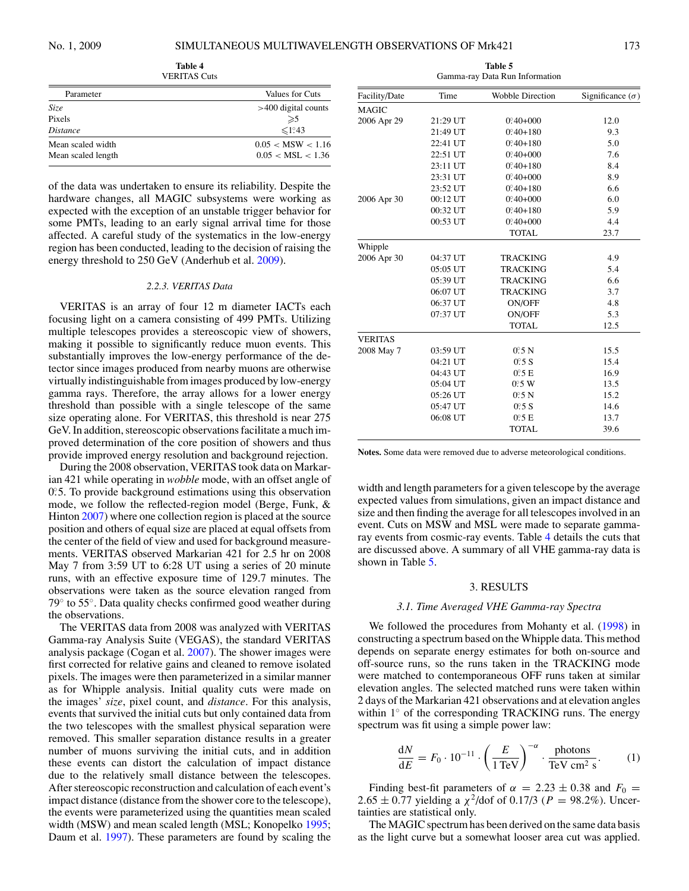|                    | 1.1111                |
|--------------------|-----------------------|
| Parameter          | Values for Cuts       |
| Size               | $>400$ digital counts |
| Pixels             | $\geqslant$           |
| <i>Distance</i>    | $\leq 1.43$           |
| Mean scaled width  | 0.05 < MSW < 1.16     |
| Mean scaled length | 0.05 < MSL < 1.36     |
|                    |                       |

**Table 4** VERITAS Cuts

of the data was undertaken to ensure its reliability. Despite the hardware changes, all MAGIC subsystems were working as expected with the exception of an unstable trigger behavior for some PMTs, leading to an early signal arrival time for those affected. A careful study of the systematics in the low-energy region has been conducted, leading to the decision of raising the energy threshold to 250 GeV (Anderhub et al. [2009\)](#page-9-0).

#### *2.2.3. VERITAS Data*

VERITAS is an array of four 12 m diameter IACTs each focusing light on a camera consisting of 499 PMTs. Utilizing multiple telescopes provides a stereoscopic view of showers, making it possible to significantly reduce muon events. This substantially improves the low-energy performance of the detector since images produced from nearby muons are otherwise virtually indistinguishable from images produced by low-energy gamma rays. Therefore, the array allows for a lower energy threshold than possible with a single telescope of the same size operating alone. For VERITAS, this threshold is near 275 GeV. In addition, stereoscopic observations facilitate a much improved determination of the core position of showers and thus provide improved energy resolution and background rejection.

During the 2008 observation, VERITAS took data on Markarian 421 while operating in *wobble* mode, with an offset angle of 0.5. To provide background estimations using this observation mode, we follow the reflected-region model (Berge, Funk, & Hinton [2007\)](#page-9-0) where one collection region is placed at the source position and others of equal size are placed at equal offsets from the center of the field of view and used for background measurements. VERITAS observed Markarian 421 for 2.5 hr on 2008 May 7 from 3:59 UT to 6:28 UT using a series of 20 minute runs, with an effective exposure time of 129.7 minutes. The observations were taken as the source elevation ranged from 79◦ to 55◦. Data quality checks confirmed good weather during the observations.

The VERITAS data from 2008 was analyzed with VERITAS Gamma-ray Analysis Suite (VEGAS), the standard VERITAS analysis package (Cogan et al. [2007\)](#page-9-0). The shower images were first corrected for relative gains and cleaned to remove isolated pixels. The images were then parameterized in a similar manner as for Whipple analysis. Initial quality cuts were made on the images' *size*, pixel count, and *distance*. For this analysis, events that survived the initial cuts but only contained data from the two telescopes with the smallest physical separation were removed. This smaller separation distance results in a greater number of muons surviving the initial cuts, and in addition these events can distort the calculation of impact distance due to the relatively small distance between the telescopes. After stereoscopic reconstruction and calculation of each event's impact distance (distance from the shower core to the telescope), the events were parameterized using the quantities mean scaled width (MSW) and mean scaled length (MSL; Konopelko [1995;](#page-10-0) Daum et al. [1997\)](#page-9-0). These parameters are found by scaling the

**Table 5** Gamma-ray Data Run Information

| Facility/Date  | Time     | <b>Wobble Direction</b>                            | Significance $(\sigma)$ |
|----------------|----------|----------------------------------------------------|-------------------------|
| <b>MAGIC</b>   |          |                                                    |                         |
| 2006 Apr 29    | 21:29 UT | $0°.40+000$                                        | 12.0                    |
|                | 21:49 UT | $0^{\circ}\!\!\!\!\!340 + 180$                     | 9.3                     |
|                | 22:41 UT | $0°.40 + 180$                                      | 5.0                     |
|                | 22:51 UT | $0^\circ\hskip-2pt .40\hskip-2pt +\hskip-2pt .000$ | 7.6                     |
|                | 23:11 UT | $0.40 + 180$                                       | 8.4                     |
|                | 23:31 UT | $0^{\circ}\!\!\!.40 + 000$                         | 8.9                     |
|                | 23:52 UT | $0°40+180$                                         | 6.6                     |
| 2006 Apr 30    | 00:12 UT | $0^\circ\hskip-2pt .40\hskip-2pt +\hskip-2pt .000$ | 6.0                     |
|                | 00:32 UT | $0^{\circ}\!\!\!\!\!340 + 180$                     | 5.9                     |
|                | 00:53 UT | $0^\circ\hskip-2pt .40\hskip-2pt +\hskip-2pt .000$ | 4.4                     |
|                |          | <b>TOTAL</b>                                       | 23.7                    |
| Whipple        |          |                                                    |                         |
| 2006 Apr 30    | 04:37 UT | <b>TRACKING</b>                                    | 4.9                     |
|                | 05:05 UT | <b>TRACKING</b>                                    | 5.4                     |
|                | 05:39 UT | <b>TRACKING</b>                                    | 6.6                     |
|                | 06:07 UT | <b>TRACKING</b>                                    | 3.7                     |
|                | 06:37 UT | ON/OFF                                             | 4.8                     |
|                | 07:37 UT | ON/OFF                                             | 5.3                     |
|                |          | <b>TOTAL</b>                                       | 12.5                    |
| <b>VERITAS</b> |          |                                                    |                         |
| 2008 May 7     | 03:59 UT | 0.5 <sub>N</sub>                                   | 15.5                    |
|                | 04:21 UT | $0^\circ$ 5 S                                      | 15.4                    |
|                | 04:43 UT | 0.5 E                                              | 16.9                    |
|                | 05:04 UT | 0.5 W                                              | 13.5                    |
|                | 05:26 UT | 0.5 <sub>N</sub>                                   | 15.2                    |
|                | 05:47 UT | $0^\circ$ :5 S                                     | 14.6                    |
|                | 06:08 UT | 0.5 E                                              | 13.7                    |
|                |          | <b>TOTAL</b>                                       | 39.6                    |
|                |          |                                                    |                         |

**Notes.** Some data were removed due to adverse meteorological conditions.

width and length parameters for a given telescope by the average expected values from simulations, given an impact distance and size and then finding the average for all telescopes involved in an event. Cuts on MSW and MSL were made to separate gammaray events from cosmic-ray events. Table 4 details the cuts that are discussed above. A summary of all VHE gamma-ray data is shown in Table 5.

#### 3. RESULTS

# *3.1. Time Averaged VHE Gamma-ray Spectra*

We followed the procedures from Mohanty et al. [\(1998\)](#page-10-0) in constructing a spectrum based on the Whipple data. This method depends on separate energy estimates for both on-source and off-source runs, so the runs taken in the TRACKING mode were matched to contemporaneous OFF runs taken at similar elevation angles. The selected matched runs were taken within 2 days of the Markarian 421 observations and at elevation angles within 1<sup>°</sup> of the corresponding TRACKING runs. The energy spectrum was fit using a simple power law:

$$
\frac{dN}{dE} = F_0 \cdot 10^{-11} \cdot \left(\frac{E}{1 \text{ TeV}}\right)^{-\alpha} \cdot \frac{\text{photons}}{\text{TeV cm}^2 \text{ s}}.
$$
 (1)

Finding best-fit parameters of  $\alpha = 2.23 \pm 0.38$  and  $F_0 =$ 2.65 ± 0.77 yielding a  $\chi^2$ /dof of 0.17/3 (*P* = 98.2%). Uncertainties are statistical only.

The MAGIC spectrum has been derived on the same data basis as the light curve but a somewhat looser area cut was applied.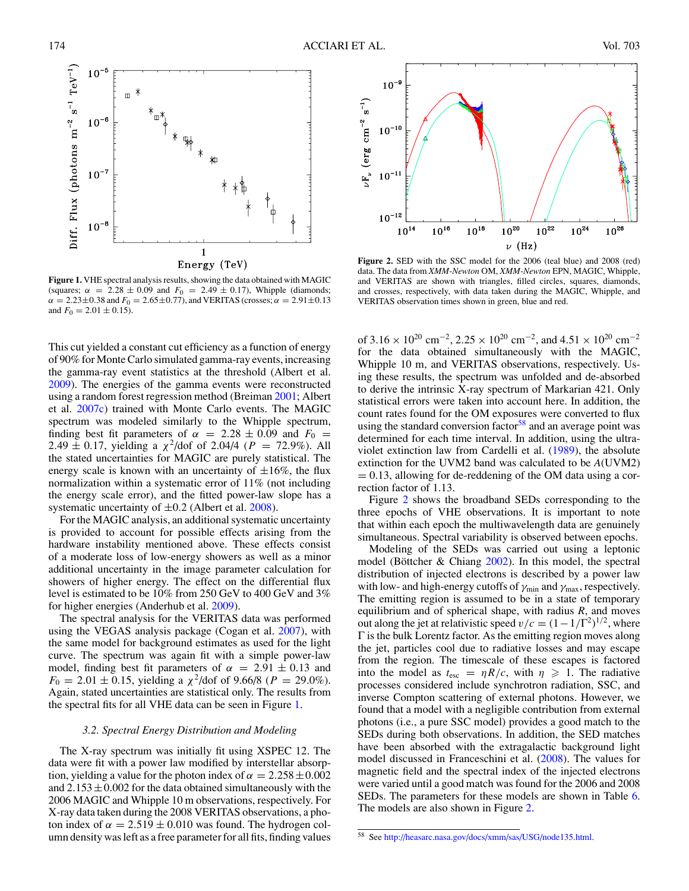<span id="page-6-0"></span>

**Figure 1.** VHE spectral analysis results, showing the data obtained with MAGIC (squares;  $\alpha$  = 2.28  $\pm$  0.09 and  $F_0$  = 2.49  $\pm$  0.17), Whipple (diamonds;  $\alpha = 2.23 \pm 0.38$  and  $F_0 = 2.65 \pm 0.77$ ), and VERITAS (crosses;  $\alpha = 2.91 \pm 0.13$ and  $F_0 = 2.01 \pm 0.15$ ).

This cut yielded a constant cut efficiency as a function of energy of 90% for Monte Carlo simulated gamma-ray events, increasing the gamma-ray event statistics at the threshold (Albert et al. [2009\)](#page-9-0). The energies of the gamma events were reconstructed using a random forest regression method (Breiman [2001;](#page-9-0) Albert et al. [2007c\)](#page-9-0) trained with Monte Carlo events. The MAGIC spectrum was modeled similarly to the Whipple spectrum, finding best fit parameters of  $\alpha$  = 2.28  $\pm$  0.09 and  $F_0$  = 2.49  $\pm$  0.17, yielding a  $\chi^2$ /dof of 2.04/4 ( $P = 72.9\%$ ). All the stated uncertainties for MAGIC are purely statistical. The energy scale is known with an uncertainty of  $\pm 16\%$ , the flux normalization within a systematic error of 11% (not including the energy scale error), and the fitted power-law slope has a systematic uncertainty of ±0*.*2 (Albert et al. [2008\)](#page-9-0).

For the MAGIC analysis, an additional systematic uncertainty is provided to account for possible effects arising from the hardware instability mentioned above. These effects consist of a moderate loss of low-energy showers as well as a minor additional uncertainty in the image parameter calculation for showers of higher energy. The effect on the differential flux level is estimated to be 10% from 250 GeV to 400 GeV and 3% for higher energies (Anderhub et al. [2009\)](#page-9-0).

The spectral analysis for the VERITAS data was performed using the VEGAS analysis package (Cogan et al. [2007\)](#page-9-0), with the same model for background estimates as used for the light curve. The spectrum was again fit with a simple power-law model, finding best fit parameters of  $\alpha = 2.91 \pm 0.13$  and  $F_0 = 2.01 \pm 0.15$ , yielding a  $\chi^2$ /dof of 9.66/8 (*P* = 29.0%). Again, stated uncertainties are statistical only. The results from the spectral fits for all VHE data can be seen in Figure 1.

## *3.2. Spectral Energy Distribution and Modeling*

The X-ray spectrum was initially fit using XSPEC 12. The data were fit with a power law modified by interstellar absorption, yielding a value for the photon index of  $\alpha = 2.258 \pm 0.002$ and  $2.153 \pm 0.002$  for the data obtained simultaneously with the 2006 MAGIC and Whipple 10 m observations, respectively. For X-ray data taken during the 2008 VERITAS observations, a photon index of  $\alpha = 2.519 \pm 0.010$  was found. The hydrogen column density was left as a free parameter for all fits, finding values



**Figure 2.** SED with the SSC model for the 2006 (teal blue) and 2008 (red) data. The data from *XMM-Newton* OM, *XMM-Newton* EPN, MAGIC, Whipple, and VERITAS are shown with triangles, filled circles, squares, diamonds, and crosses, respectively, with data taken during the MAGIC, Whipple, and VERITAS observation times shown in green, blue and red.

of  $3.16 \times 10^{20}$  cm<sup>-2</sup>,  $2.25 \times 10^{20}$  cm<sup>-2</sup>, and  $4.51 \times 10^{20}$  cm<sup>-2</sup> for the data obtained simultaneously with the MAGIC, Whipple 10 m, and VERITAS observations, respectively. Using these results, the spectrum was unfolded and de-absorbed to derive the intrinsic X-ray spectrum of Markarian 421. Only statistical errors were taken into account here. In addition, the count rates found for the OM exposures were converted to flux using the standard conversion factor<sup>58</sup> and an average point was determined for each time interval. In addition, using the ultraviolet extinction law from Cardelli et al. [\(1989\)](#page-9-0), the absolute extinction for the UVM2 band was calculated to be *A*(UVM2)  $= 0.13$ , allowing for de-reddening of the OM data using a correction factor of 1.13.

Figure 2 shows the broadband SEDs corresponding to the three epochs of VHE observations. It is important to note that within each epoch the multiwavelength data are genuinely simultaneous. Spectral variability is observed between epochs.

Modeling of the SEDs was carried out using a leptonic model (Böttcher & Chiang  $2002$ ). In this model, the spectral distribution of injected electrons is described by a power law with low- and high-energy cutoffs of  $γ_{min}$  and  $γ_{max}$ , respectively. The emitting region is assumed to be in a state of temporary equilibrium and of spherical shape, with radius *R*, and moves out along the jet at relativistic speed  $v/c = (1 - 1/\Gamma^2)^{1/2}$ , where Γ is the bulk Lorentz factor. As the emitting region moves along the jet, particles cool due to radiative losses and may escape from the region. The timescale of these escapes is factored into the model as  $t_{\text{esc}} = \eta R/c$ , with  $\eta \geq 1$ . The radiative processes considered include synchrotron radiation, SSC, and inverse Compton scattering of external photons. However, we found that a model with a negligible contribution from external photons (i.e., a pure SSC model) provides a good match to the SEDs during both observations. In addition, the SED matches have been absorbed with the extragalactic background light model discussed in Franceschini et al. [\(2008\)](#page-9-0). The values for magnetic field and the spectral index of the injected electrons were varied until a good match was found for the 2006 and 2008 SEDs. The parameters for these models are shown in Table [6.](#page-7-0) The models are also shown in Figure 2.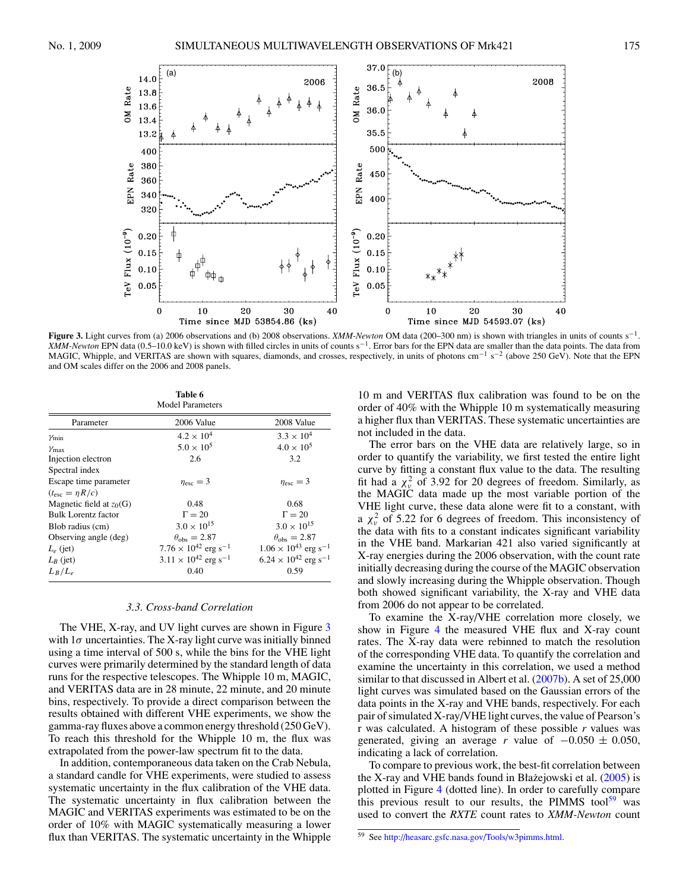<span id="page-7-0"></span>

**Figure 3.** Light curves from (a) 2006 observations and (b) 2008 observations. *XMM-Newton* OM data (200–300 nm) is shown with triangles in units of counts s−1. *XMM-Newton* EPN data (0.5–10.0 keV) is shown with filled circles in units of counts s<sup>-1</sup>. Error bars for the EPN data are smaller than the data points. The data from MAGIC, Whipple, and VERITAS are shown with squares, diamonds, and crosses, respectively, in units of photons cm<sup>-1</sup> s<sup>-2</sup> (above 250 GeV). Note that the EPN and OM scales differ on the 2006 and 2008 panels.

**Table 6** Model Parameters

|                            | nouer i arameters                         |                                           |
|----------------------------|-------------------------------------------|-------------------------------------------|
| Parameter                  | 2006 Value                                | 2008 Value                                |
| $\gamma_{\min}$            | $4.2 \times 10^{4}$                       | $3.3 \times 10^{4}$                       |
| $\gamma_{\text{max}}$      | $5.0 \times 10^5$                         | $4.0 \times 10^{5}$                       |
| Injection electron         | 2.6                                       | 3.2                                       |
| Spectral index             |                                           |                                           |
| Escape time parameter      | $\eta_{\rm esc}=3$                        | $\eta_{\rm esc}=3$                        |
| $(t_{\rm esc} = \eta R/c)$ |                                           |                                           |
| Magnetic field at $z_0(G)$ | 0.48                                      | 0.68                                      |
| Bulk Lorentz factor        | $\Gamma = 20$                             | $\Gamma = 20$                             |
| Blob radius (cm)           | $3.0 \times 10^{15}$                      | $3.0 \times 10^{15}$                      |
| Observing angle (deg)      | $\theta_{\rm obs} = 2.87$                 | $\theta_{\rm obs} = 2.87$                 |
| $L_e$ (jet)                | $7.76 \times 10^{42}$ erg s <sup>-1</sup> | $1.06 \times 10^{43}$ erg s <sup>-1</sup> |
| $L_B$ (jet)                | $3.11 \times 10^{42}$ erg s <sup>-1</sup> | $6.24 \times 10^{42}$ erg s <sup>-1</sup> |
| $L_B/L_e$                  | 0.40                                      | 0.59                                      |
|                            |                                           |                                           |

#### *3.3. Cross-band Correlation*

The VHE, X-ray, and UV light curves are shown in Figure 3 with  $1\sigma$  uncertainties. The X-ray light curve was initially binned using a time interval of 500 s, while the bins for the VHE light curves were primarily determined by the standard length of data runs for the respective telescopes. The Whipple 10 m, MAGIC, and VERITAS data are in 28 minute, 22 minute, and 20 minute bins, respectively. To provide a direct comparison between the results obtained with different VHE experiments, we show the gamma-ray fluxes above a common energy threshold (250 GeV). To reach this threshold for the Whipple 10 m, the flux was extrapolated from the power-law spectrum fit to the data.

In addition, contemporaneous data taken on the Crab Nebula, a standard candle for VHE experiments, were studied to assess systematic uncertainty in the flux calibration of the VHE data. The systematic uncertainty in flux calibration between the MAGIC and VERITAS experiments was estimated to be on the order of 10% with MAGIC systematically measuring a lower flux than VERITAS. The systematic uncertainty in the Whipple

10 m and VERITAS flux calibration was found to be on the order of 40% with the Whipple 10 m systematically measuring a higher flux than VERITAS. These systematic uncertainties are not included in the data.

The error bars on the VHE data are relatively large, so in order to quantify the variability, we first tested the entire light curve by fitting a constant flux value to the data. The resulting fit had a  $\chi^2_\nu$  of 3.92 for 20 degrees of freedom. Similarly, as the MAGIC data made up the most variable portion of the VHE light curve, these data alone were fit to a constant, with a  $\chi^2_\nu$  of 5.22 for 6 degrees of freedom. This inconsistency of the data with fits to a constant indicates significant variability in the VHE band. Markarian 421 also varied significantly at X-ray energies during the 2006 observation, with the count rate initially decreasing during the course of the MAGIC observation and slowly increasing during the Whipple observation. Though both showed significant variability, the X-ray and VHE data from 2006 do not appear to be correlated.

To examine the X-ray/VHE correlation more closely, we show in Figure [4](#page-8-0) the measured VHE flux and X-ray count rates. The X-ray data were rebinned to match the resolution of the corresponding VHE data. To quantify the correlation and examine the uncertainty in this correlation, we used a method similar to that discussed in Albert et al. [\(2007b\)](#page-9-0). A set of 25,000 light curves was simulated based on the Gaussian errors of the data points in the X-ray and VHE bands, respectively. For each pair of simulated X-ray/VHE light curves, the value of Pearson's r was calculated. A histogram of these possible *r* values was generated, giving an average *r* value of  $-0.050 \pm 0.050$ , indicating a lack of correlation.

To compare to previous work, the best-fit correlation between the X-ray and VHE bands found in Błażejowski et al.  $(2005)$  $(2005)$  is plotted in Figure [4](#page-8-0) (dotted line). In order to carefully compare this previous result to our results, the PIMMS tool<sup>59</sup> was used to convert the *RXTE* count rates to *XMM-Newton* count

<sup>59</sup> See [http://heasarc.gsfc.nasa.gov/Tools/w3pimms.html.](http://heasarc.gsfc.nasa.gov/Tools/w3pimms.html)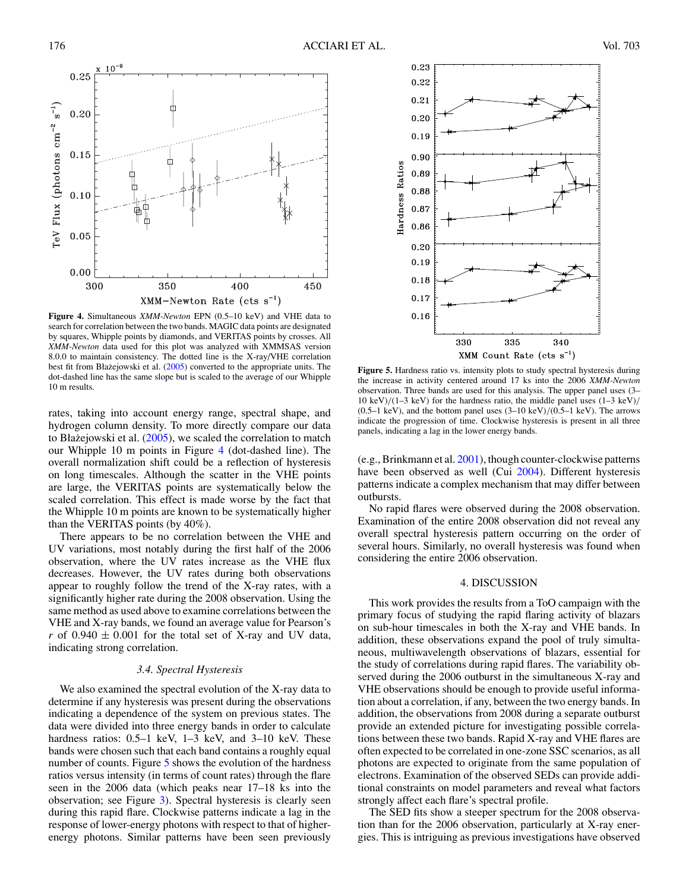<span id="page-8-0"></span>

**Figure 4.** Simultaneous *XMM-Newton* EPN (0.5–10 keV) and VHE data to search for correlation between the two bands. MAGIC data points are designated by squares, Whipple points by diamonds, and VERITAS points by crosses. All *XMM-Newton* data used for this plot was analyzed with XMMSAS version 8.0.0 to maintain consistency. The dotted line is the X-ray/VHE correlation best fit from Błażejowski et al.  $(2005)$  $(2005)$  converted to the appropriate units. The dot-dashed line has the same slope but is scaled to the average of our Whipple 10 m results.

rates, taking into account energy range, spectral shape, and hydrogen column density. To more directly compare our data to Błażejowski et al.  $(2005)$  $(2005)$ , we scaled the correlation to match our Whipple 10 m points in Figure 4 (dot-dashed line). The overall normalization shift could be a reflection of hysteresis on long timescales. Although the scatter in the VHE points are large, the VERITAS points are systematically below the scaled correlation. This effect is made worse by the fact that the Whipple 10 m points are known to be systematically higher than the VERITAS points (by 40%).

There appears to be no correlation between the VHE and UV variations, most notably during the first half of the 2006 observation, where the UV rates increase as the VHE flux decreases. However, the UV rates during both observations appear to roughly follow the trend of the X-ray rates, with a significantly higher rate during the 2008 observation. Using the same method as used above to examine correlations between the VHE and X-ray bands, we found an average value for Pearson's *r* of  $0.940 \pm 0.001$  for the total set of X-ray and UV data, indicating strong correlation.

### *3.4. Spectral Hysteresis*

We also examined the spectral evolution of the X-ray data to determine if any hysteresis was present during the observations indicating a dependence of the system on previous states. The data were divided into three energy bands in order to calculate hardness ratios: 0.5–1 keV, 1–3 keV, and 3–10 keV. These bands were chosen such that each band contains a roughly equal number of counts. Figure 5 shows the evolution of the hardness ratios versus intensity (in terms of count rates) through the flare seen in the 2006 data (which peaks near 17–18 ks into the observation; see Figure [3\)](#page-7-0). Spectral hysteresis is clearly seen during this rapid flare. Clockwise patterns indicate a lag in the response of lower-energy photons with respect to that of higherenergy photons. Similar patterns have been seen previously



**Figure 5.** Hardness ratio vs. intensity plots to study spectral hysteresis during the increase in activity centered around 17 ks into the 2006 *XMM-Newton* observation. Three bands are used for this analysis. The upper panel uses (3– 10 keV)*/*(1–3 keV) for the hardness ratio, the middle panel uses (1–3 keV)*/* (0.5–1 keV), and the bottom panel uses (3–10 keV)*/*(0.5–1 keV). The arrows indicate the progression of time. Clockwise hysteresis is present in all three panels, indicating a lag in the lower energy bands.

(e.g., Brinkmann et al. [2001\)](#page-9-0), though counter-clockwise patterns have been observed as well (Cui [2004\)](#page-9-0). Different hysteresis patterns indicate a complex mechanism that may differ between outbursts.

No rapid flares were observed during the 2008 observation. Examination of the entire 2008 observation did not reveal any overall spectral hysteresis pattern occurring on the order of several hours. Similarly, no overall hysteresis was found when considering the entire 2006 observation.

# 4. DISCUSSION

This work provides the results from a ToO campaign with the primary focus of studying the rapid flaring activity of blazars on sub-hour timescales in both the X-ray and VHE bands. In addition, these observations expand the pool of truly simultaneous, multiwavelength observations of blazars, essential for the study of correlations during rapid flares. The variability observed during the 2006 outburst in the simultaneous X-ray and VHE observations should be enough to provide useful information about a correlation, if any, between the two energy bands. In addition, the observations from 2008 during a separate outburst provide an extended picture for investigating possible correlations between these two bands. Rapid X-ray and VHE flares are often expected to be correlated in one-zone SSC scenarios, as all photons are expected to originate from the same population of electrons. Examination of the observed SEDs can provide additional constraints on model parameters and reveal what factors strongly affect each flare's spectral profile.

The SED fits show a steeper spectrum for the 2008 observation than for the 2006 observation, particularly at X-ray energies. This is intriguing as previous investigations have observed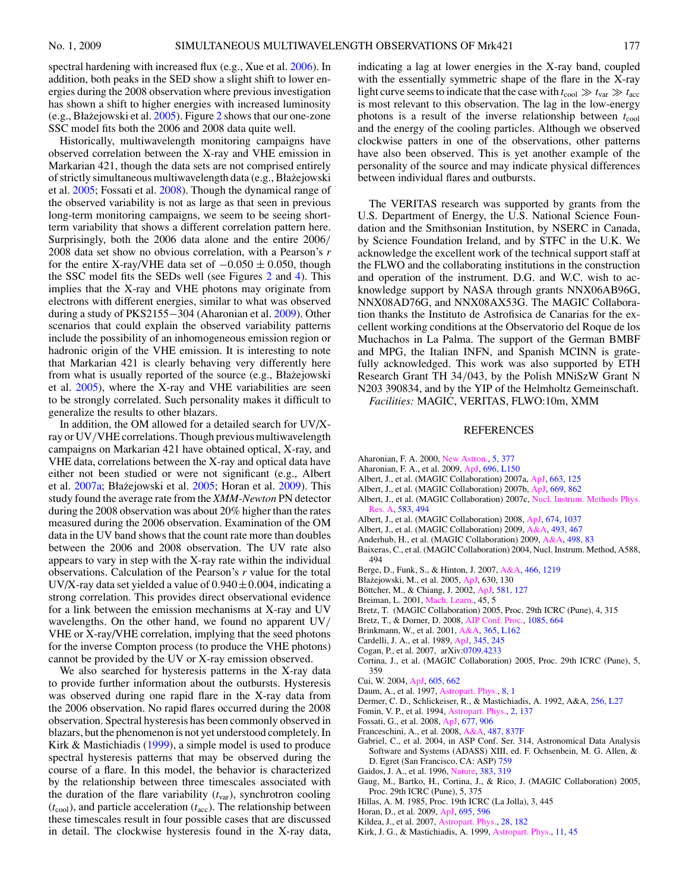<span id="page-9-0"></span>spectral hardening with increased flux (e.g., Xue et al. [2006\)](#page-10-0). In addition, both peaks in the SED show a slight shift to lower energies during the 2008 observation where previous investigation has shown a shift to higher energies with increased luminosity (e.g., Błażejowski et al.  $2005$  $2005$ ). Figure 2 shows that our one-zone SSC model fits both the 2006 and 2008 data quite well.

Historically, multiwavelength monitoring campaigns have observed correlation between the X-ray and VHE emission in Markarian 421, though the data sets are not comprised entirely of strictly simultaneous multiwavelength data (e.g., Błazejowski ˙ et al. 2005; Fossati et al. 2008). Though the dynamical range of the observed variability is not as large as that seen in previous long-term monitoring campaigns, we seem to be seeing shortterm variability that shows a different correlation pattern here. Surprisingly, both the 2006 data alone and the entire 2006*/* 2008 data set show no obvious correlation, with a Pearson's *r* for the entire X-ray/VHE data set of  $-0.050 \pm 0.050$ , though the SSC model fits the SEDs well (see Figures [2](#page-6-0) and [4\)](#page-8-0). This implies that the X-ray and VHE photons may originate from electrons with different energies, similar to what was observed during a study of PKS2155−304 (Aharonian et al. 2009). Other scenarios that could explain the observed variability patterns include the possibility of an inhomogeneous emission region or hadronic origin of the VHE emission. It is interesting to note that Markarian 421 is clearly behaving very differently here from what is usually reported of the source (e.g., Błażejowski et al. 2005), where the X-ray and VHE variabilities are seen to be strongly correlated. Such personality makes it difficult to generalize the results to other blazars.

In addition, the OM allowed for a detailed search for UV/Xray or UV*/*VHE correlations. Though previous multiwavelength campaigns on Markarian 421 have obtained optical, X-ray, and VHE data, correlations between the X-ray and optical data have either not been studied or were not significant (e.g., Albert et al.  $2007a$ ; Błażejowski et al.  $2005$ ; Horan et al.  $2009$ ). This study found the average rate from the *XMM-Newton* PN detector during the 2008 observation was about 20% higher than the rates measured during the 2006 observation. Examination of the OM data in the UV band shows that the count rate more than doubles between the 2006 and 2008 observation. The UV rate also appears to vary in step with the X-ray rate within the individual observations. Calculation of the Pearson's *r* value for the total UV/X-ray data set yielded a value of  $0.940 \pm 0.004$ , indicating a strong correlation. This provides direct observational evidence for a link between the emission mechanisms at X-ray and UV wavelengths. On the other hand, we found no apparent UV*/* VHE or X-ray/VHE correlation, implying that the seed photons for the inverse Compton process (to produce the VHE photons) cannot be provided by the UV or X-ray emission observed.

We also searched for hysteresis patterns in the X-ray data to provide further information about the outbursts. Hysteresis was observed during one rapid flare in the X-ray data from the 2006 observation. No rapid flares occurred during the 2008 observation. Spectral hysteresis has been commonly observed in blazars, but the phenomenon is not yet understood completely. In Kirk & Mastichiadis (1999), a simple model is used to produce spectral hysteresis patterns that may be observed during the course of a flare. In this model, the behavior is characterized by the relationship between three timescales associated with the duration of the flare variability  $(t_{\text{var}})$ , synchrotron cooling  $(t_{\text{cool}})$ , and particle acceleration  $(t_{\text{acc}})$ . The relationship between these timescales result in four possible cases that are discussed in detail. The clockwise hysteresis found in the X-ray data,

indicating a lag at lower energies in the X-ray band, coupled with the essentially symmetric shape of the flare in the X-ray light curve seems to indicate that the case with  $t_{\text{cool}} \gg t_{\text{var}} \gg t_{\text{acc}}$ is most relevant to this observation. The lag in the low-energy photons is a result of the inverse relationship between  $t_{\text{cool}}$ and the energy of the cooling particles. Although we observed clockwise patters in one of the observations, other patterns have also been observed. This is yet another example of the personality of the source and may indicate physical differences between individual flares and outbursts.

The VERITAS research was supported by grants from the U.S. Department of Energy, the U.S. National Science Foundation and the Smithsonian Institution, by NSERC in Canada, by Science Foundation Ireland, and by STFC in the U.K. We acknowledge the excellent work of the technical support staff at the FLWO and the collaborating institutions in the construction and operation of the instrument. D.G. and W.C. wish to acknowledge support by NASA through grants NNX06AB96G, NNX08AD76G, and NNX08AX53G. The MAGIC Collaboration thanks the Instituto de Astrofisica de Canarias for the excellent working conditions at the Observatorio del Roque de los Muchachos in La Palma. The support of the German BMBF and MPG, the Italian INFN, and Spanish MCINN is gratefully acknowledged. This work was also supported by ETH Research Grant TH 34*/*043, by the Polish MNiSzW Grant N N203 390834, and by the YIP of the Helmholtz Gemeinschaft.

*Facilities:* MAGIC, VERITAS, FLWO:10m, XMM

#### REFERENCES

- Aharonian, F. A. 2000, [New Astron.,](http://dx.doi.org/10.1016/S1384-1076(00)00039-7) [5, 377](http://adsabs.harvard.edu/cgi-bin/bib_query?2000NewA....5..377A)
- Aharonian, F. A., et al. 2009, [ApJ,](http://dx.doi.org/10.1088/0004-637X/696/2/L150) [696, L150](http://adsabs.harvard.edu/cgi-bin/bib_query?2009ApJ...696L.150A)
- Albert, J., et al. (MAGIC Collaboration) 2007a, [ApJ,](http://dx.doi.org/10.1086/518221) [663, 125](http://adsabs.harvard.edu/cgi-bin/bib_query?2007ApJ...663..125A)
- Albert, J., et al. (MAGIC Collaboration) 2007b, [ApJ,](http://dx.doi.org/10.1086/521382) [669, 862](http://adsabs.harvard.edu/cgi-bin/bib_query?2007ApJ...669..862A)
- Albert, J., et al. (MAGIC Collaboration) 2007c, Nucl. Instrum. Methods Phys. Res. A, [583, 494](http://adsabs.harvard.edu/cgi-bin/bib_query?2007NIMPA.583..494A)
- Albert, J., et al. (MAGIC Collaboration) 2008, [ApJ,](http://dx.doi.org/10.1086/525270) [674, 1037](http://adsabs.harvard.edu/cgi-bin/bib_query?2008ApJ...674.1037A)
- Albert, J., et al. (MAGIC Collaboration) 2009, [A&A,](http://dx.doi.org/10.1051/0004-6361:20079048) [493, 467](http://adsabs.harvard.edu/cgi-bin/bib_query?2009A&A...493..467A)
- Anderhub, H., et al. (MAGIC Collaboration) 2009, [A&A,](http://dx.doi.org/10.1051/0004-6361/200811326) [498, 83](http://adsabs.harvard.edu/cgi-bin/bib_query?2009A&A...498...83A)
- Baixeras, C., et al. (MAGIC Collaboration) 2004, Nucl. Instrum. Method, A588, 494
- Berge, D., Funk, S., & Hinton, J. 2007, [A&A,](http://dx.doi.org/10.1051/0004-6361:20066674) [466, 1219](http://adsabs.harvard.edu/cgi-bin/bib_query?2007A&A...466.1219B)
- Błażejowski, M., et al. 2005, [ApJ,](http://dx.doi.org/10.1086/431925) 630, 130
- Böttcher, M., & Chiang, J. 2002, [ApJ,](http://dx.doi.org/10.1086/344155) [581, 127](http://adsabs.harvard.edu/cgi-bin/bib_query?2002ApJ...581..127B)
- Breiman, L. 2001, [Mach. Learn.,](http://dx.doi.org/10.1023/A:1010933404324) 45, 5
- Bretz, T. (MAGIC Collaboration) 2005, Proc. 29th ICRC (Pune), 4, 315
- Bretz, T., & Dorner, D. 2008, [AIP Conf. Proc.,](http://dx.doi.org/10.1063/1.3076762) [1085, 664](http://adsabs.harvard.edu/cgi-bin/bib_query?2008AIPC.1085..664B)
- Brinkmann, W., et al. 2001, [A&A,](http://dx.doi.org/10.1051/0004-6361:20000084) [365, L162](http://adsabs.harvard.edu/cgi-bin/bib_query?2001A&A...365L.162B)
- Cardelli, J. A., et al. 1989, [ApJ,](http://dx.doi.org/10.1086/167900) [345, 245](http://adsabs.harvard.edu/cgi-bin/bib_query?1989ApJ...345..245C)
- Cogan, P., et al. 2007, arXiv[:0709.4233](http://www.arxiv.org/abs/0709.4233)
- Cortina, J., et al. (MAGIC Collaboration) 2005, Proc. 29th ICRC (Pune), 5, 359
- Cui, W. 2004, [ApJ,](http://dx.doi.org/10.1086/382587) [605, 662](http://adsabs.harvard.edu/cgi-bin/bib_query?2004ApJ...605..662C)
- Daum, A., et al. 1997, [Astropart. Phys.,](http://dx.doi.org/10.1016/S0927-6505(97)00031-5) [8, 1](http://adsabs.harvard.edu/cgi-bin/bib_query?1997APh.....8....1D)
- Dermer, C. D., Schlickeiser, R., & Mastichiadis, A. 1992, A&A, [256, L27](http://adsabs.harvard.edu/cgi-bin/bib_query?1992A&A...256L..27D)
- Fomin, V. P., et al. 1994, [Astropart. Phys.,](http://dx.doi.org/10.1016/0927-6505(94)90036-1) [2, 137](http://adsabs.harvard.edu/cgi-bin/bib_query?1994APh.....2..137F)
- Fossati, G., et al. 2008, [ApJ,](http://dx.doi.org/10.1086/527311) [677, 906](http://adsabs.harvard.edu/cgi-bin/bib_query?2008ApJ...677..906F)
- Franceschini, A., et al. 2008, [A&A,](http://dx.doi.org/10.1051/0004-6361:200809691) [487, 837F](http://adsabs.harvard.edu/cgi-bin/bib_query?2008A&A...487..837F)
- Gabriel, C., et al. 2004, in ASP Conf. Ser. 314, Astronomical Data Analysis Software and Systems (ADASS) XIII, ed. F. Ochsenbein, M. G. Allen, & D. Egret (San Francisco, CA: ASP) [759](http://adsabs.harvard.edu/cgi-bin/bib_query?2004ASPC..314..759G)
- Gaidos, J. A., et al. 1996, [Nature,](http://dx.doi.org/10.1038/383319a0) [383, 319](http://adsabs.harvard.edu/cgi-bin/bib_query?1996Natur.383..319G)
- Gaug, M., Bartko, H., Cortina, J., & Rico, J. (MAGIC Collaboration) 2005, Proc. 29th ICRC (Pune), 5, 375
- Hillas, A. M. 1985, Proc. 19th ICRC (La Jolla), 3, 445
- Horan, D., et al. 2009, [ApJ,](http://dx.doi.org/10.1088/0004-637X/695/1/596) [695, 596](http://adsabs.harvard.edu/cgi-bin/bib_query?2009ApJ...695..596H)
- Kildea, J., et al. 2007, [Astropart. Phys.,](http://dx.doi.org/10.1016/j.astropartphys.2007.05.004) [28, 182](http://adsabs.harvard.edu/cgi-bin/bib_query?2007APh....28..182K)
- Kirk, J. G., & Mastichiadis, A. 1999, [Astropart. Phys.,](http://dx.doi.org/10.1016/S0927-6505(99)00023-7) [11, 45](http://adsabs.harvard.edu/cgi-bin/bib_query?1999APh....11...45K)